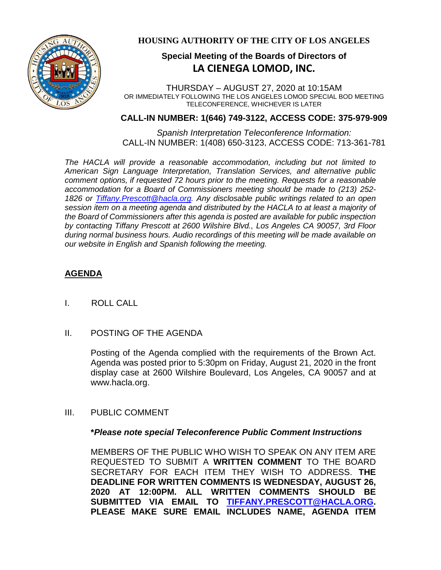

## **HOUSING AUTHORITY OF THE CITY OF LOS ANGELES**

# **Special Meeting of the Boards of Directors of LA CIENEGA LOMOD, INC.**

THURSDAY – AUGUST 27, 2020 at 10:15AM OR IMMEDIATELY FOLLOWING THE LOS ANGELES LOMOD SPECIAL BOD MEETING TELECONFERENCE, WHICHEVER IS LATER

### **CALL-IN NUMBER: 1(646) 749-3122, ACCESS CODE: 375-979-909**

*Spanish Interpretation Teleconference Information:* CALL-IN NUMBER: 1(408) 650-3123, ACCESS CODE: 713-361-781

*The HACLA will provide a reasonable accommodation, including but not limited to American Sign Language Interpretation, Translation Services, and alternative public comment options, if requested 72 hours prior to the meeting. Requests for a reasonable accommodation for a Board of Commissioners meeting should be made to (213) 252- 1826 or Tiffany.Prescott@hacla.org. Any disclosable public writings related to an open session item on a meeting agenda and distributed by the HACLA to at least a majority of the Board of Commissioners after this agenda is posted are available for public inspection by contacting Tiffany Prescott at 2600 Wilshire Blvd., Los Angeles CA 90057, 3rd Floor during normal business hours. Audio recordings of this meeting will be made available on our website in English and Spanish following the meeting.*

# **AGENDA**

- I. ROLL CALL
- II. POSTING OF THE AGENDA

Posting of the Agenda complied with the requirements of the Brown Act. Agenda was posted prior to 5:30pm on Friday, August 21, 2020 in the front display case at 2600 Wilshire Boulevard, Los Angeles, CA 90057 and at www.hacla.org.

III. PUBLIC COMMENT

### **\****Please note special Teleconference Public Comment Instructions*

MEMBERS OF THE PUBLIC WHO WISH TO SPEAK ON ANY ITEM ARE REQUESTED TO SUBMIT A **WRITTEN COMMENT** TO THE BOARD SECRETARY FOR EACH ITEM THEY WISH TO ADDRESS. **THE DEADLINE FOR WRITTEN COMMENTS IS WEDNESDAY, AUGUST 26, 2020 AT 12:00PM. ALL WRITTEN COMMENTS SHOULD BE SUBMITTED VIA EMAIL TO [TIFFANY.PRESCOTT@HACLA.ORG.](mailto:TIFFANY.PRESCOTT@HACLA.ORG) PLEASE MAKE SURE EMAIL INCLUDES NAME, AGENDA ITEM**